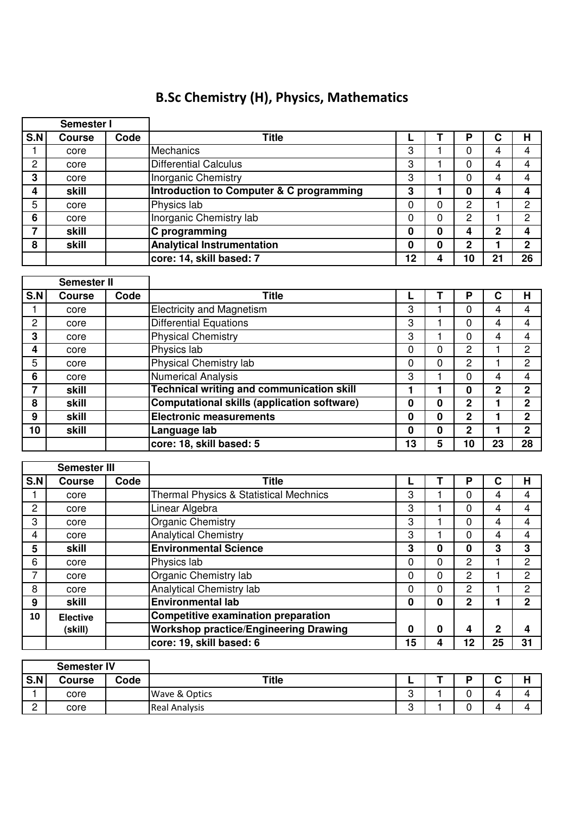## B.Sc Chemistry (H), Physics, Mathematics

| Semester I         |               |      |                                                  |    |             |                |                |                |
|--------------------|---------------|------|--------------------------------------------------|----|-------------|----------------|----------------|----------------|
| S.N                | <b>Course</b> | Code | <b>Title</b>                                     |    | Т           | P              | C              | H              |
|                    | core          |      | Mechanics                                        | 3  |             | 0              | 4              | 4              |
| 2                  | core          |      | <b>Differential Calculus</b>                     | 3  | 1           | 0              | 4              | 4              |
| 3                  | core          |      | <b>Inorganic Chemistry</b>                       | 3  | 1           | 0              | 4              | 4              |
| 4                  | skill         |      | Introduction to Computer & C programming         | 3  | 1           | $\mathbf{0}$   | 4              | 4              |
| 5                  | core          |      | Physics lab                                      | 0  | $\Omega$    | $\mathbf{2}$   | 1              | $\overline{2}$ |
| 6                  | core          |      | Inorganic Chemistry lab                          | 0  | $\mathbf 0$ | 2              | 1              | $\overline{c}$ |
| 7                  | skill         |      | C programming                                    | 0  | $\bf{0}$    | 4              | $\overline{2}$ | 4              |
| 8                  | skill         |      | <b>Analytical Instrumentation</b>                | 0  | $\mathbf 0$ | $\overline{2}$ | 1              | $\overline{2}$ |
|                    |               |      | core: 14, skill based: 7                         | 12 | 4           | 10             | 21             | 26             |
|                    |               |      |                                                  |    |             |                |                |                |
| <b>Semester II</b> |               |      |                                                  |    |             |                |                |                |
|                    |               |      |                                                  |    |             |                |                |                |
| S.N                | <b>Course</b> | Code | <b>Title</b>                                     |    | т           | P              | C              | Н              |
|                    | core          |      | <b>Electricity and Magnetism</b>                 | 3  | 1           | $\Omega$       | 4              | 4              |
| 2                  | core          |      | Differential Equations                           | 3  | 1           | 0              | 4              | 4              |
| 3                  | core          |      | <b>Physical Chemistry</b>                        | 3  |             | 0              | 4              | 4              |
| 4                  | core          |      | Physics lab                                      | 0  | 0           | 2              | 1              | 2              |
| 5                  | core          |      | Physical Chemistry lab                           | 0  | $\Omega$    | 2              | 1              | 2              |
| 6                  | core          |      | <b>Numerical Analysis</b>                        | 3  | 1           | 0              | 4              | 4              |
| 7                  | skill         |      | <b>Technical writing and communication skill</b> | 1  | 1           | $\mathbf 0$    | $\overline{2}$ | $\mathbf{2}$   |
| 8                  | skill         |      | Computational skills (application software)      | 0  | $\mathbf 0$ | $\overline{2}$ | 1              | $\mathbf 2$    |

| 9   | skill           |      | <b>Electronic measurements</b>                    | $\bf{0}$ | $\mathbf 0$ | $\mathbf{2}$   |              | $\mathbf 2$    |
|-----|-----------------|------|---------------------------------------------------|----------|-------------|----------------|--------------|----------------|
| 10  | skill           |      | Language lab                                      | $\bf{0}$ | $\mathbf 0$ | $\mathbf{2}$   | 1            | $\overline{2}$ |
|     |                 |      | core: 18, skill based: 5                          | 13       | 5           | 10             | 23           | 28             |
|     |                 |      |                                                   |          |             |                |              |                |
|     | Semester III    |      |                                                   |          |             |                |              |                |
| S.N | <b>Course</b>   | Code | <b>Title</b>                                      |          |             | P              | C            | H              |
|     | core            |      | <b>Thermal Physics &amp; Statistical Mechnics</b> | 3        |             | 0              | 4            | 4              |
| 2   | core            |      | Linear Algebra                                    | 3        |             | 0              | 4            | $\overline{4}$ |
| 3   | core            |      | Organic Chemistry                                 | 3        |             | 0              | 4            | $\overline{4}$ |
| 4   | core            |      | <b>Analytical Chemistry</b>                       | 3        |             | 0              | 4            | 4              |
| 5   | skill           |      | <b>Environmental Science</b>                      | 3        | $\bf{0}$    | $\mathbf 0$    | 3            | 3              |
| 6   | core            |      | Physics lab                                       | 0        | $\mathbf 0$ | 2              |              | $\overline{c}$ |
| 7   | core            |      | Organic Chemistry lab                             | 0        | $\Omega$    | $\overline{2}$ |              | $\overline{2}$ |
| 8   | core            |      | <b>Analytical Chemistry lab</b>                   | 0        | $\Omega$    | $\overline{2}$ |              | $\overline{2}$ |
| 9   | skill           |      | <b>Environmental lab</b>                          | $\bf{0}$ | $\mathbf 0$ | $\mathbf{2}$   | 1            | $\overline{2}$ |
| 10  | <b>Elective</b> |      | <b>Competitive examination preparation</b>        |          |             |                |              |                |
|     | (skill)         |      | <b>Workshop practice/Engineering Drawing</b>      | 0        | $\mathbf 0$ | 4              | $\mathbf{2}$ | 4              |
|     |                 |      | core: 19, skill based: 6                          | 15       | 4           | 12             | 25           | 31             |

|     | <b>Semester IV</b> |      |                      |        |   |             |     |
|-----|--------------------|------|----------------------|--------|---|-------------|-----|
| S.N | <b>Course</b>      | Code | Title                | -      | D | $\sim$<br>v | . . |
|     | core               |      | Wave & Optics        | റ<br>ٮ |   |             | Δ   |
| ◠   | core               |      | <b>Real Analysis</b> | റ<br>ບ |   |             |     |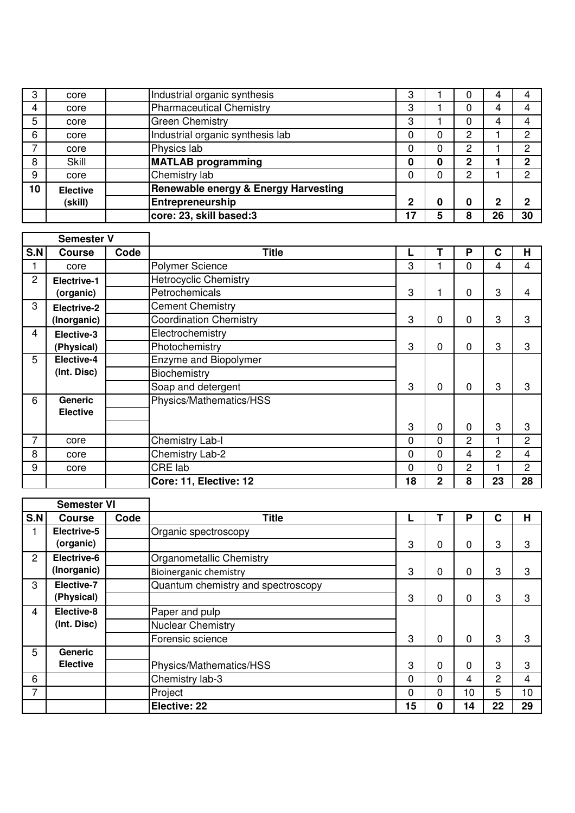| 3              | core            | Industrial organic synthesis                    | 3           |   | U | 4           |    |
|----------------|-----------------|-------------------------------------------------|-------------|---|---|-------------|----|
| $\overline{4}$ | core            | <b>Pharmaceutical Chemistry</b>                 | 3           |   | 0 | 4           |    |
| 5              | core            | <b>Green Chemistry</b>                          | 3           |   | 0 | 4           | 4  |
| 6              | core            | Industrial organic synthesis lab                | 0           | 0 | 2 |             | 2  |
|                | core            | Physics lab                                     |             | 0 | 2 |             | 2  |
| 8              | Skill           | <b>MATLAB programming</b>                       | 0           | 0 | 2 |             | ŋ  |
| 9              | core            | Chemistry lab                                   | 0           | 0 | 2 |             | C  |
| 10             | <b>Elective</b> | <b>Renewable energy &amp; Energy Harvesting</b> |             |   |   |             |    |
|                | (skill)         | Entrepreneurship                                | $\mathbf 2$ | 0 | 0 | $\mathbf 2$ | ŋ  |
|                |                 | core: 23, skill based:3                         | 17          | 5 | 8 | 26          | 30 |

| <b>Semester V</b> |                 |      |                               |          |                |   |                |                |
|-------------------|-----------------|------|-------------------------------|----------|----------------|---|----------------|----------------|
| S.N               | <b>Course</b>   | Code | <b>Title</b>                  |          |                | P | $\mathbf c$    | Н              |
|                   | core            |      | Polymer Science               | 3        |                | 0 | 4              | 4              |
| $\overline{2}$    | Electrive-1     |      | <b>Hetrocyclic Chemistry</b>  |          |                |   |                |                |
|                   | (organic)       |      | Petrochemicals                | 3        | 1.             | 0 | 3              | $\overline{4}$ |
| 3                 | Electrive-2     |      | <b>Cement Chemistry</b>       |          |                |   |                |                |
|                   | (Inorganic)     |      | <b>Coordination Chemistry</b> | 3        | 0              | 0 | 3              | 3              |
| 4                 | Elective-3      |      | Electrochemistry              |          |                |   |                |                |
|                   | (Physical)      |      | Photochemistry                | 3        | 0              | 0 | 3              | 3              |
| 5                 | Elective-4      |      | Enzyme and Biopolymer         |          |                |   |                |                |
|                   | (Int. Disc)     |      | <b>Biochemistry</b>           |          |                |   |                |                |
|                   |                 |      | Soap and detergent            | 3        | $\mathbf 0$    | 0 | 3              | 3              |
| 6                 | Generic         |      | Physics/Mathematics/HSS       |          |                |   |                |                |
|                   | <b>Elective</b> |      |                               |          |                |   |                |                |
|                   |                 |      |                               | 3        | $\mathbf 0$    | 0 | 3              | 3              |
| 7                 | core            |      | <b>Chemistry Lab-I</b>        | 0        | 0              | 2 | 1              | $\overline{c}$ |
| 8                 | core            |      | Chemistry Lab-2               | 0        | 0              | 4 | $\overline{2}$ | 4              |
| 9                 | core            |      | CRE lab                       | $\Omega$ | 0              | 2 | 1              | 2              |
|                   |                 |      | Core: 11, Elective: 12        | 18       | $\overline{2}$ | 8 | 23             | 28             |

| <b>Semester VI</b> |                 |      |                                    |          |             |    |    |    |
|--------------------|-----------------|------|------------------------------------|----------|-------------|----|----|----|
| S.N                | <b>Course</b>   | Code | <b>Title</b>                       |          |             | P  | C  | Н  |
|                    | Electrive-5     |      | Organic spectroscopy               |          |             |    |    |    |
|                    | (organic)       |      |                                    | 3        | 0           | 0  | 3  | 3  |
| $\overline{2}$     | Electrive-6     |      | Organometallic Chemistry           |          |             |    |    |    |
|                    | (Inorganic)     |      | Bioinerganic chemistry             | 3        | 0           | 0  | 3  | 3  |
| 3                  | Elective-7      |      | Quantum chemistry and spectroscopy |          |             |    |    |    |
|                    | (Physical)      |      |                                    | 3        | 0           | 0  | 3  | 3  |
| 4                  | Elective-8      |      | Paper and pulp                     |          |             |    |    |    |
|                    | (Int. Disc)     |      | <b>Nuclear Chemistry</b>           |          |             |    |    |    |
|                    |                 |      | Forensic science                   | 3        | $\mathbf 0$ | 0  | 3  | 3  |
| 5                  | <b>Generic</b>  |      |                                    |          |             |    |    |    |
|                    | <b>Elective</b> |      | Physics/Mathematics/HSS            | 3        | $\mathbf 0$ | 0  | 3  | 3  |
| 6                  |                 |      | Chemistry lab-3                    | $\Omega$ | $\Omega$    | 4  | 2  | 4  |
| 7                  |                 |      | Project                            | $\Omega$ | $\Omega$    | 10 | 5  | 10 |
|                    |                 |      | Elective: 22                       | 15       | $\bf{0}$    | 14 | 22 | 29 |